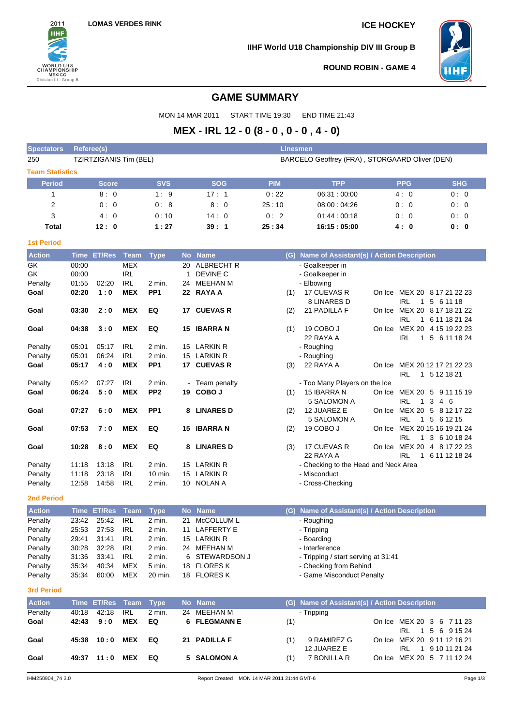

**IIHF World U18 Championship DIV III Group B**



**ROUND ROBIN - GAME 4**

# **GAME SUMMARY**

MON 14 MAR 2011 START TIME 19:30 END TIME 21:43

# **MEX - IRL 12 - 0 (8 - 0 , 0 - 0 , 4 - 0)**

| <b>Spectators</b>      | <b>Referee(s)</b> |                    |                          |                 |    |                                  | <b>Linesmen</b> |                                                |                                            |                                         |
|------------------------|-------------------|--------------------|--------------------------|-----------------|----|----------------------------------|-----------------|------------------------------------------------|--------------------------------------------|-----------------------------------------|
| 250                    |                   |                    | TZIRTZIGANIS Tim (BEL)   |                 |    |                                  |                 | BARCELO Geoffrey (FRA), STORGAARD Oliver (DEN) |                                            |                                         |
| <b>Team Statistics</b> |                   |                    |                          |                 |    |                                  |                 |                                                |                                            |                                         |
| <b>Period</b>          |                   | <b>Score</b>       |                          | <b>SVS</b>      |    | <b>SOG</b>                       | <b>PIM</b>      | <b>TPP</b>                                     | <b>PPG</b>                                 | <b>SHG</b>                              |
| 1                      |                   | 8:0                |                          | 1:9             |    | 17:1                             | 0:22            | 06:31:00:00                                    | 4:0                                        | 0:0                                     |
| 2                      |                   | 0:0                |                          | 0:8             |    | 8:0                              | 25:10           | 08:00:04:26                                    | 0:0                                        | 0:0                                     |
|                        |                   |                    |                          |                 |    |                                  |                 |                                                |                                            |                                         |
| 3                      |                   | 4:0                |                          | 0:10            |    | 14:0                             | 0:2             | 01.44:00.18                                    | 0:0                                        | 0:0                                     |
| Total                  |                   | 12:0               |                          | 1:27            |    | 39:1                             | 25:34           | 16:15:05:00                                    | 4:0                                        | 0: 0                                    |
| <b>1st Period</b>      |                   |                    |                          |                 |    |                                  |                 |                                                |                                            |                                         |
| <b>Action</b>          |                   | Time ET/Res        | Team                     | <b>Type</b>     |    | No Name                          | (G)             | Name of Assistant(s) / Action Description      |                                            |                                         |
| GK                     | 00:00             |                    | <b>MEX</b>               |                 | 20 | <b>ALBRECHT R</b>                |                 | - Goalkeeper in                                |                                            |                                         |
| GK                     | 00:00             |                    | <b>IRL</b>               |                 | 1  | <b>DEVINE C</b>                  |                 | - Goalkeeper in                                |                                            |                                         |
| Penalty                | 01:55             | 02:20              | <b>IRL</b>               | 2 min.          | 24 | MEEHAN M                         |                 | - Elbowing                                     |                                            |                                         |
| Goal                   | 02:20             | 1:0                | <b>MEX</b>               | PP <sub>1</sub> |    | 22 RAYA A                        | (1)             | 17 CUEVAS R                                    | On Ice MEX 20 8 17 21 22 23                |                                         |
|                        |                   |                    |                          |                 |    |                                  |                 | 8 LINARES D                                    | <b>IRL</b>                                 | 1 5 6 11 18                             |
| Goal                   | 03:30             | 2:0                | <b>MEX</b>               | EQ              |    | 17 CUEVAS R                      | (2)             | 21 PADILLA F                                   | On Ice MEX 20 8 17 18 21 22                |                                         |
|                        |                   |                    |                          |                 |    |                                  |                 |                                                | IRL                                        | 1 6 11 18 21 24                         |
| Goal                   | 04:38             | 3:0                | <b>MEX</b>               | EQ              |    | 15 IBARRA N                      | (1)             | 19 COBO J                                      | On Ice                                     | MEX 20 4 15 19 22 23                    |
|                        |                   |                    |                          |                 |    |                                  |                 | 22 RAYA A                                      | IRL                                        | 1 5 6 11 18 24                          |
| Penalty                | 05:01             | 05:17              | <b>IRL</b>               | 2 min.          |    | 15 LARKIN R                      |                 | - Roughing                                     |                                            |                                         |
| Penalty                | 05:01             | 06:24              | <b>IRL</b>               | 2 min.          |    | 15 LARKIN R                      |                 | - Roughing                                     |                                            |                                         |
| Goal                   | 05:17             | 4:0                | <b>MEX</b>               | PP <sub>1</sub> |    | 17 CUEVAS R                      | (3)             | 22 RAYA A                                      | On Ice<br><b>IRL</b>                       | MEX 20 12 17 21 22 23<br>1 5 12 18 21   |
| Penalty                | 05:42             | 07:27              | <b>IRL</b>               | 2 min.          |    | - Team penalty                   |                 | - Too Many Players on the Ice                  |                                            |                                         |
| Goal                   | 06:24             | 5:0                | <b>MEX</b>               | PP <sub>2</sub> |    | 19 COBO J                        | (1)             | 15 IBARRA N                                    | On Ice                                     | MEX 20 5 9 11 15 19                     |
|                        |                   |                    |                          |                 |    |                                  |                 | 5 SALOMON A                                    | <b>IRL</b><br>$\mathbf{1}$                 | 3<br>4 6                                |
| Goal                   | 07:27             | 6:0                | <b>MEX</b>               | PP <sub>1</sub> |    | 8 LINARES D                      | (2)             | 12 JUAREZ E<br>5 SALOMON A                     | On Ice MEX 20 5 8 12 17 22<br>IRL          | 1 5 6 1 2 1 5                           |
| Goal                   | 07:53             | 7:0                | <b>MEX</b>               | EQ              |    | 15 IBARRA N                      | (2)             | 19 COBO J                                      | On Ice<br>IRL                              | MEX 20 15 16 19 21 24<br>1 3 6 10 18 24 |
| Goal                   | 10:28             | 8:0                | <b>MEX</b>               | EQ              | 8  | <b>LINARES D</b>                 | (3)             | 17 CUEVAS R<br>22 RAYA A                       | On Ice MEX 20 4 8 17 22 23<br><b>IRL</b>   | 1 6 11 12 18 24                         |
| Penalty                | 11:18             | 13:18              | IRL                      | 2 min.          |    | 15 LARKIN R                      |                 | - Checking to the Head and Neck Area           |                                            |                                         |
| Penalty                | 11:18             | 23:18              | <b>IRL</b>               | $10$ min.       |    | 15 LARKIN R                      |                 | - Misconduct                                   |                                            |                                         |
| Penalty                | 12:58             | 14:58              | <b>IRL</b>               | 2 min.          |    | 10 NOLAN A                       |                 | - Cross-Checking                               |                                            |                                         |
| 2nd Period             |                   |                    |                          |                 |    |                                  |                 |                                                |                                            |                                         |
| <b>Action</b>          |                   | <b>Time ET/Res</b> | <b>Team</b>              | <b>Type</b>     |    | No Name                          | (G)             | Name of Assistant(s) / Action Description      |                                            |                                         |
| Penalty                | 23:42             | 25:42              | <b>IRL</b>               | 2 min.          |    | 21 McCOLLUM L                    |                 | - Roughing                                     |                                            |                                         |
| Penalty                | 25:53             | 27:53              | IRL                      | 2 min.          |    | 11 LAFFERTY E                    |                 | - Tripping                                     |                                            |                                         |
| Penalty                | 29:41             | 31:41              | <b>IRL</b>               | 2 min.          | 15 | LARKIN R                         |                 | - Boarding                                     |                                            |                                         |
| Penalty                | 30:28             | 32:28              | <b>IRL</b>               | 2 min.          |    | 24 MEEHAN M                      |                 | - Interference                                 |                                            |                                         |
| Penalty                | 31:36             | 33:41              | IRL                      | 2 min.          | 6  | STEWARDSON J                     |                 | - Tripping / start serving at 31:41            |                                            |                                         |
| Penalty                | 35:34             | 40:34              | <b>MEX</b>               | 5 min.          |    | 18 FLORES K                      |                 | - Checking from Behind                         |                                            |                                         |
| Penalty                | 35:34             | 60:00              | MEX                      | 20 min.         |    | 18 FLORES K                      |                 | - Game Misconduct Penalty                      |                                            |                                         |
|                        |                   |                    |                          |                 |    |                                  |                 |                                                |                                            |                                         |
| <b>3rd Period</b>      |                   |                    |                          |                 |    |                                  |                 |                                                |                                            |                                         |
| <b>Action</b>          |                   | <b>Time ET/Res</b> | <b>Team</b>              | <b>Type</b>     |    | No Name                          | (G)             | Name of Assistant(s) / Action Description      |                                            |                                         |
| Penalty<br>Goal        | 40:18<br>42:43    | 42:18<br>9:0       | <b>IRL</b><br><b>MEX</b> | 2 min.<br>EQ    | 6  | 24 MEEHAN M<br><b>FLEGMANN E</b> | (1)             | - Tripping                                     | On Ice MEX 20 3 6 7 11 23                  |                                         |
| Goal                   | 45:38             | 10:0               | <b>MEX</b>               | EQ              |    | 21 PADILLA F                     | (1)             | 9 RAMIREZ G<br>12 JUAREZ E                     | IRL.<br>On Ice MEX 20 9 11 12 16 21<br>IRL | 1 5 6 9 15 24<br>1 9 10 11 21 24        |
| Goal                   |                   | 49:37 11:0         | <b>MEX</b>               | EQ              |    | 5 SALOMON A                      | (1)             | 7 BONILLA R                                    | On Ice MEX 20 5 7 11 12 24                 |                                         |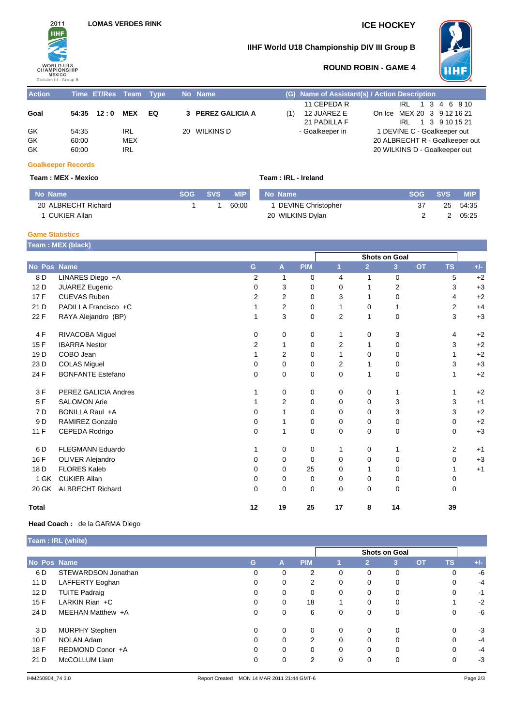



## **IIHF World U18 Championship DIV III Group B**



## **ROUND ROBIN - GAME 4**

| <b>Action</b>  |                         | Time ET/Res Team Type |                          |    | No Name           |    | (G) Name of Assistant(s) / Action Description |                                                              |                                |
|----------------|-------------------------|-----------------------|--------------------------|----|-------------------|----|-----------------------------------------------|--------------------------------------------------------------|--------------------------------|
| Goal           |                         | 54:35 12:0            | MEX                      | EQ | 3 PEREZ GALICIA A | (1 | 11 CEPEDA R<br>12 JUAREZ E<br>21 PADILLA F    | On Ice MEX 20 3 9 12 16 21<br>IRL 1 3 9 10 15 21             | IRL 1 3 4 6 9 10               |
| GK<br>GK<br>GK | 54:35<br>60:00<br>60:00 |                       | IRL<br>MEX<br><b>IRL</b> |    | 20 WILKINS D      |    | - Goalkeeper in                               | 1 DEVINE C - Goalkeeper out<br>20 WILKINS D - Goalkeeper out | 20 ALBRECHT R - Goalkeeper out |

### **Goalkeeper Records**

### **Team : MEX - Mexico Team : IRL - Ireland**

| No Name             | <b>SOG</b> | <b>SVS</b> | <b>MIP</b> | No N |
|---------------------|------------|------------|------------|------|
| 20 ALBRECHT Richard |            |            | 60:00      |      |
| 1 CUKIER Allan      |            |            |            | 20 V |

| IP | No Name              | <b>SOG SVS</b> | MIP I    |
|----|----------------------|----------------|----------|
| 00 | 1 DEVINE Christopher | 37             | 25 54:35 |
|    | 20 WILKINS Dylan     |                | 2 05:25  |

### **Game Statistics**

**Team : MEX (black)**

|                 |                          |                |                |             | <b>Shots on Goal</b> |                |                |           |                |       |
|-----------------|--------------------------|----------------|----------------|-------------|----------------------|----------------|----------------|-----------|----------------|-------|
| No Pos Name     |                          | G              | A              | <b>PIM</b>  | 1                    | $\overline{2}$ | 3 <sup>2</sup> | <b>OT</b> | <b>TS</b>      | $+/-$ |
| 8 D             | LINARES Diego +A         | $\overline{2}$ | 1              | 0           | $\overline{4}$       | $\mathbf{1}$   | $\mathbf 0$    |           | 5              | $+2$  |
| 12 D            | JUAREZ Eugenio           | $\Omega$       | 3              | 0           | 0                    | 1              | 2              |           | 3              | $+3$  |
| 17F             | <b>CUEVAS Ruben</b>      | $\overline{2}$ | $\overline{2}$ | 0           | 3                    | 1              | 0              |           | 4              | $+2$  |
| 21 D            | PADILLA Francisco +C     |                | $\overline{2}$ | 0           | 1                    | $\Omega$       | $\mathbf{1}$   |           | $\overline{2}$ | $+4$  |
| 22 F            | RAYA Alejandro (BP)      |                | 3              | $\mathbf 0$ | $\overline{2}$       | $\mathbf{1}$   | $\mathbf 0$    |           | 3              | $+3$  |
| 4 F             | RIVACOBA Miguel          | 0              | 0              | 0           | 1                    | 0              | 3              |           | 4              | $+2$  |
| 15F             | <b>IBARRA</b> Nestor     | $\overline{2}$ | 1              | 0           | $\overline{2}$       | 1              | 0              |           | 3              | $+2$  |
| 19 <sub>D</sub> | COBO Jean                |                | $\overline{2}$ | 0           | 1                    | 0              | 0              |           |                | $+2$  |
| 23 D            | <b>COLAS Miguel</b>      | 0              | 0              | 0           | 2                    | 1              | 0              |           | 3              | $+3$  |
| 24 F            | <b>BONFANTE Estefano</b> | $\Omega$       | 0              | 0           | $\Omega$             | 1              | 0              |           |                | $+2$  |
| 3F              | PEREZ GALICIA Andres     |                | 0              | 0           | 0                    | 0              | 1              |           |                | $+2$  |
| 5F              | <b>SALOMON Arie</b>      |                | $\overline{2}$ | $\mathbf 0$ | $\Omega$             | $\Omega$       | 3              |           | 3              | $+1$  |
| 7 <sub>D</sub>  | BONILLA Raul +A          | $\Omega$       | 1              | 0           | 0                    | 0              | 3              |           | 3              | $+2$  |
| 9 <sub>D</sub>  | RAMIREZ Gonzalo          | 0              | 1              | 0           | 0                    | 0              | 0              |           | 0              | $+2$  |
| 11F             | CEPEDA Rodrigo           | 0              | 1              | 0           | 0                    | 0              | 0              |           | 0              | $+3$  |
| 6 D             | <b>FLEGMANN Eduardo</b>  | 1              | 0              | 0           | 1                    | 0              | $\mathbf 1$    |           | 2              | $+1$  |
| 16 F            | <b>OLIVER Alejandro</b>  | 0              | 0              | 0           | $\Omega$             | 0              | 0              |           | $\Omega$       | $+3$  |
| 18 D            | <b>FLORES Kaleb</b>      | $\Omega$       | $\Omega$       | 25          | $\Omega$             | 1              | 0              |           |                | $+1$  |
| 1 GK            | <b>CUKIER Allan</b>      | 0              | 0              | 0           | 0                    | 0              | $\mathbf 0$    |           | 0              |       |
| 20 GK           | <b>ALBRECHT Richard</b>  | $\Omega$       | 0              | 0           | 0                    | 0              | 0              |           | 0              |       |
| <b>Total</b>    |                          | 12             | 19             | 25          | 17                   | 8              | 14             |           | 39             |       |

### **Head Coach :** de la GARMA Diego

|             | Team : IRL (white)    |               |          |            |          |                |   |           |           |       |  |
|-------------|-----------------------|---------------|----------|------------|----------|----------------|---|-----------|-----------|-------|--|
|             |                       | Shots on Goal |          |            |          |                |   |           |           |       |  |
| No Pos Name |                       | G             | A        | <b>PIM</b> |          | $\overline{2}$ | 3 | <b>OT</b> | <b>TS</b> | $+/-$ |  |
| 6 D         | STEWARDSON Jonathan   | 0             | 0        | 2          | 0        | $\mathbf 0$    | 0 |           | 0         | -6    |  |
| 11 D        | LAFFERTY Eoghan       | 0             | 0        | 2          | 0        | 0              | 0 |           | 0         | $-4$  |  |
| 12 D        | <b>TUITE Padraig</b>  | 0             | 0        | 0          | 0        | 0              | 0 |           | 0         | $-1$  |  |
| 15F         | LARKIN Rian $+C$      | $\Omega$      | 0        | 18         |          | 0              | 0 |           |           | $-2$  |  |
| 24 D        | MEEHAN Matthew +A     | $\Omega$      | 0        | 6          | 0        | 0              | 0 |           | 0         | -6    |  |
| 3 D         | <b>MURPHY Stephen</b> | $\Omega$      | $\Omega$ | 0          | 0        | $\mathbf 0$    | 0 |           | 0         | $-3$  |  |
| 10F         | <b>NOLAN Adam</b>     | $\Omega$      | 0        | 2          | $\Omega$ | $\Omega$       | 0 |           | 0         | $-4$  |  |
| 18 F        | REDMOND Conor +A      | $\Omega$      | $\Omega$ | 0          | $\Omega$ | $\mathbf 0$    | 0 |           | 0         | $-4$  |  |
| 21 D        | McCOLLUM Liam         | $\Omega$      | $\Omega$ | 2          | $\Omega$ | $\mathbf 0$    | 0 |           | 0         | $-3$  |  |